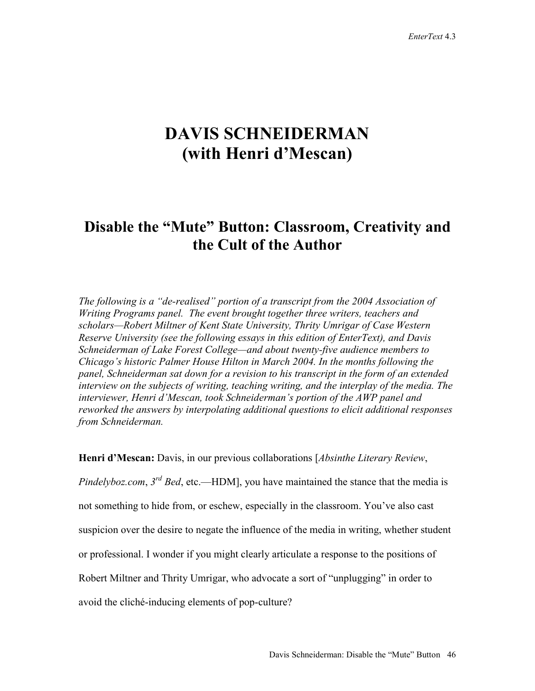## **DAVIS SCHNEIDERMAN (with Henri d'Mescan)**

## **Disable the "Mute" Button: Classroom, Creativity and the Cult of the Author**

*The following is a "de-realised" portion of a transcript from the 2004 Association of Writing Programs panel. The event brought together three writers, teachers and scholars—Robert Miltner of Kent State University, Thrity Umrigar of Case Western Reserve University (see the following essays in this edition of EnterText), and Davis Schneiderman of Lake Forest College—and about twenty-five audience members to Chicago's historic Palmer House Hilton in March 2004. In the months following the panel, Schneiderman sat down for a revision to his transcript in the form of an extended interview on the subjects of writing, teaching writing, and the interplay of the media. The interviewer, Henri d'Mescan, took Schneiderman's portion of the AWP panel and reworked the answers by interpolating additional questions to elicit additional responses from Schneiderman.* 

**Henri d'Mescan:** Davis, in our previous collaborations [*Absinthe Literary Review*,

*Pindelyboz.com*, *3rd Bed*, etc.—HDM], you have maintained the stance that the media is not something to hide from, or eschew, especially in the classroom. You've also cast suspicion over the desire to negate the influence of the media in writing, whether student or professional. I wonder if you might clearly articulate a response to the positions of Robert Miltner and Thrity Umrigar, who advocate a sort of "unplugging" in order to avoid the cliché-inducing elements of pop-culture?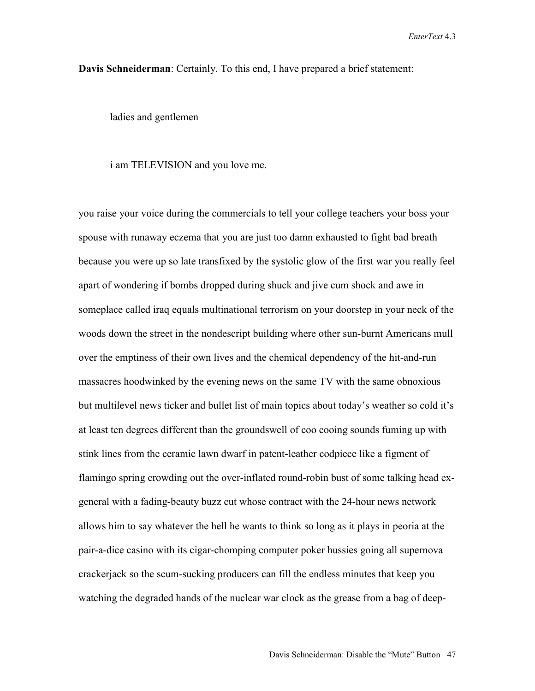**Davis Schneiderman**: Certainly. To this end, I have prepared a brief statement:

ladies and gentlemen

## i am TELEVISION and you love me.

you raise your voice during the commercials to tell your college teachers your boss your spouse with runaway eczema that you are just too damn exhausted to fight bad breath because you were up so late transfixed by the systolic glow of the first war you really feel apart of wondering if bombs dropped during shuck and jive cum shock and awe in someplace called iraq equals multinational terrorism on your doorstep in your neck of the woods down the street in the nondescript building where other sun-burnt Americans mull over the emptiness of their own lives and the chemical dependency of the hit-and-run massacres hoodwinked by the evening news on the same TV with the same obnoxious but multilevel news ticker and bullet list of main topics about today's weather so cold it's at least ten degrees different than the groundswell of coo cooing sounds fuming up with stink lines from the ceramic lawn dwarf in patent-leather codpiece like a figment of flamingo spring crowding out the over-inflated round-robin bust of some talking head exgeneral with a fading-beauty buzz cut whose contract with the 24-hour news network allows him to say whatever the hell he wants to think so long as it plays in peoria at the pair-a-dice casino with its cigar-chomping computer poker hussies going all supernova crackerjack so the scum-sucking producers can fill the endless minutes that keep you watching the degraded hands of the nuclear war clock as the grease from a bag of deep-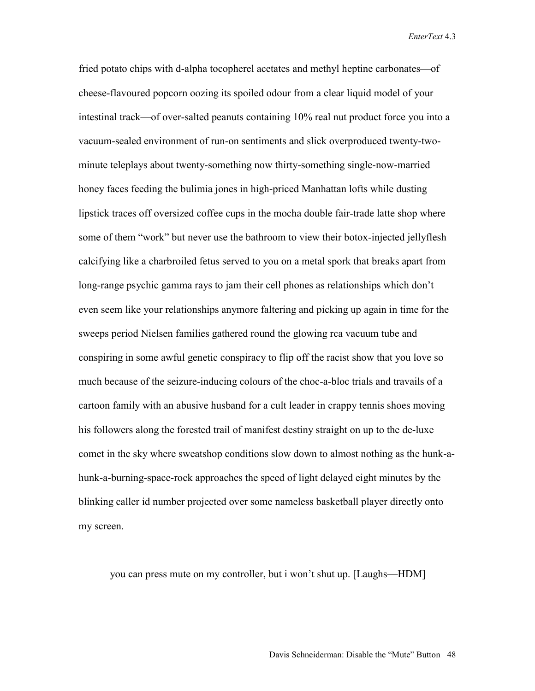fried potato chips with d-alpha tocopherel acetates and methyl heptine carbonates—of cheese-flavoured popcorn oozing its spoiled odour from a clear liquid model of your intestinal track—of over-salted peanuts containing 10% real nut product force you into a vacuum-sealed environment of run-on sentiments and slick overproduced twenty-twominute teleplays about twenty-something now thirty-something single-now-married honey faces feeding the bulimia jones in high-priced Manhattan lofts while dusting lipstick traces off oversized coffee cups in the mocha double fair-trade latte shop where some of them "work" but never use the bathroom to view their botox-injected jellyflesh calcifying like a charbroiled fetus served to you on a metal spork that breaks apart from long-range psychic gamma rays to jam their cell phones as relationships which don't even seem like your relationships anymore faltering and picking up again in time for the sweeps period Nielsen families gathered round the glowing rca vacuum tube and conspiring in some awful genetic conspiracy to flip off the racist show that you love so much because of the seizure-inducing colours of the choc-a-bloc trials and travails of a cartoon family with an abusive husband for a cult leader in crappy tennis shoes moving his followers along the forested trail of manifest destiny straight on up to the de-luxe comet in the sky where sweatshop conditions slow down to almost nothing as the hunk-ahunk-a-burning-space-rock approaches the speed of light delayed eight minutes by the blinking caller id number projected over some nameless basketball player directly onto my screen.

you can press mute on my controller, but i won't shut up. [Laughs—HDM]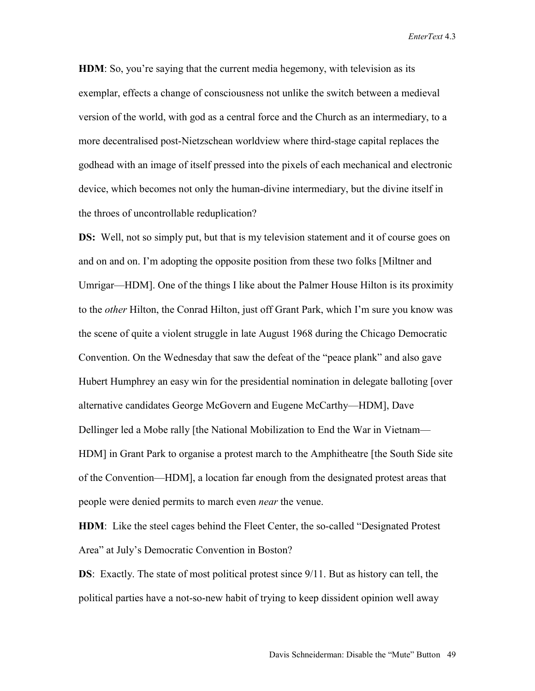**HDM**: So, you're saying that the current media hegemony, with television as its exemplar, effects a change of consciousness not unlike the switch between a medieval version of the world, with god as a central force and the Church as an intermediary, to a more decentralised post-Nietzschean worldview where third-stage capital replaces the godhead with an image of itself pressed into the pixels of each mechanical and electronic device, which becomes not only the human-divine intermediary, but the divine itself in the throes of uncontrollable reduplication?

**DS:** Well, not so simply put, but that is my television statement and it of course goes on and on and on. I'm adopting the opposite position from these two folks [Miltner and Umrigar—HDM]. One of the things I like about the Palmer House Hilton is its proximity to the *other* Hilton, the Conrad Hilton, just off Grant Park, which I'm sure you know was the scene of quite a violent struggle in late August 1968 during the Chicago Democratic Convention. On the Wednesday that saw the defeat of the "peace plank" and also gave Hubert Humphrey an easy win for the presidential nomination in delegate balloting [over alternative candidates George McGovern and Eugene McCarthy—HDM], Dave Dellinger led a Mobe rally [the National Mobilization to End the War in Vietnam— HDM] in Grant Park to organise a protest march to the Amphitheatre [the South Side site of the Convention—HDM], a location far enough from the designated protest areas that people were denied permits to march even *near* the venue.

**HDM**: Like the steel cages behind the Fleet Center, the so-called "Designated Protest Area" at July's Democratic Convention in Boston?

**DS**: Exactly. The state of most political protest since 9/11. But as history can tell, the political parties have a not-so-new habit of trying to keep dissident opinion well away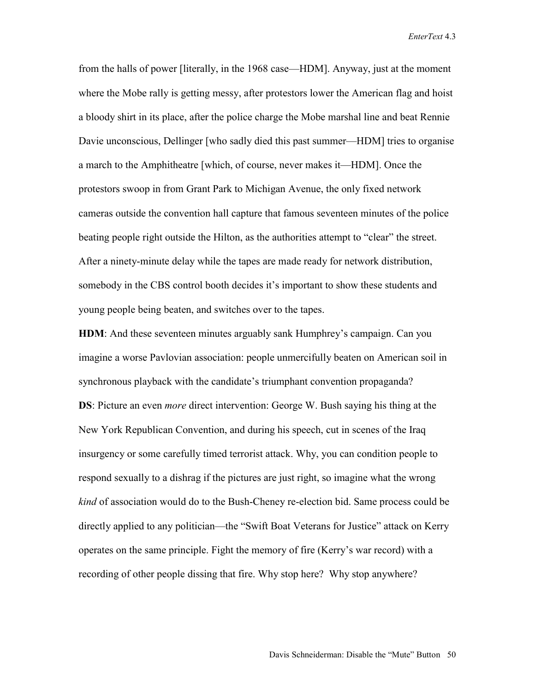from the halls of power [literally, in the 1968 case—HDM]. Anyway, just at the moment where the Mobe rally is getting messy, after protestors lower the American flag and hoist a bloody shirt in its place, after the police charge the Mobe marshal line and beat Rennie Davie unconscious, Dellinger [who sadly died this past summer—HDM] tries to organise a march to the Amphitheatre [which, of course, never makes it—HDM]. Once the protestors swoop in from Grant Park to Michigan Avenue, the only fixed network cameras outside the convention hall capture that famous seventeen minutes of the police beating people right outside the Hilton, as the authorities attempt to "clear" the street. After a ninety-minute delay while the tapes are made ready for network distribution, somebody in the CBS control booth decides it's important to show these students and young people being beaten, and switches over to the tapes.

**HDM**: And these seventeen minutes arguably sank Humphrey's campaign. Can you imagine a worse Pavlovian association: people unmercifully beaten on American soil in synchronous playback with the candidate's triumphant convention propaganda? **DS**: Picture an even *more* direct intervention: George W. Bush saying his thing at the New York Republican Convention, and during his speech, cut in scenes of the Iraq insurgency or some carefully timed terrorist attack. Why, you can condition people to respond sexually to a dishrag if the pictures are just right, so imagine what the wrong *kind* of association would do to the Bush-Cheney re-election bid. Same process could be directly applied to any politician—the "Swift Boat Veterans for Justice" attack on Kerry operates on the same principle. Fight the memory of fire (Kerry's war record) with a recording of other people dissing that fire. Why stop here? Why stop anywhere?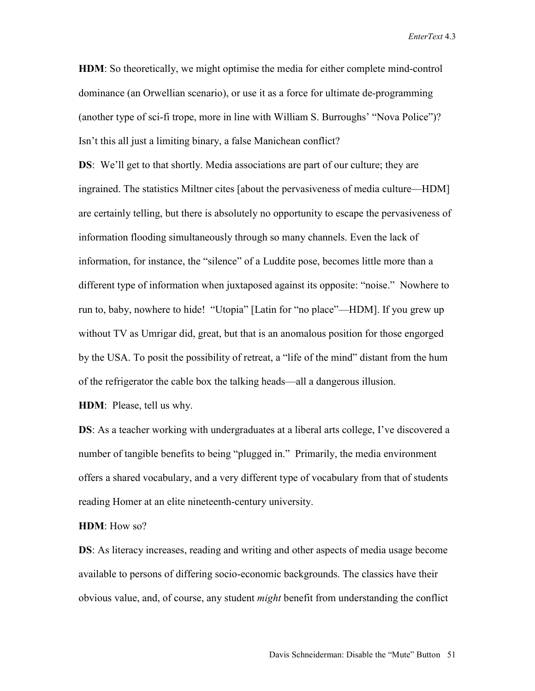**HDM**: So theoretically, we might optimise the media for either complete mind-control dominance (an Orwellian scenario), or use it as a force for ultimate de-programming (another type of sci-fi trope, more in line with William S. Burroughs' "Nova Police")? Isn't this all just a limiting binary, a false Manichean conflict?

**DS**: We'll get to that shortly. Media associations are part of our culture; they are ingrained. The statistics Miltner cites [about the pervasiveness of media culture—HDM] are certainly telling, but there is absolutely no opportunity to escape the pervasiveness of information flooding simultaneously through so many channels. Even the lack of information, for instance, the "silence" of a Luddite pose, becomes little more than a different type of information when juxtaposed against its opposite: "noise." Nowhere to run to, baby, nowhere to hide! "Utopia" [Latin for "no place"—HDM]. If you grew up without TV as Umrigar did, great, but that is an anomalous position for those engorged by the USA. To posit the possibility of retreat, a "life of the mind" distant from the hum of the refrigerator the cable box the talking heads—all a dangerous illusion.

**HDM**: Please, tell us why.

**DS**: As a teacher working with undergraduates at a liberal arts college, I've discovered a number of tangible benefits to being "plugged in." Primarily, the media environment offers a shared vocabulary, and a very different type of vocabulary from that of students reading Homer at an elite nineteenth-century university.

## **HDM**: How so?

**DS**: As literacy increases, reading and writing and other aspects of media usage become available to persons of differing socio-economic backgrounds. The classics have their obvious value, and, of course, any student *might* benefit from understanding the conflict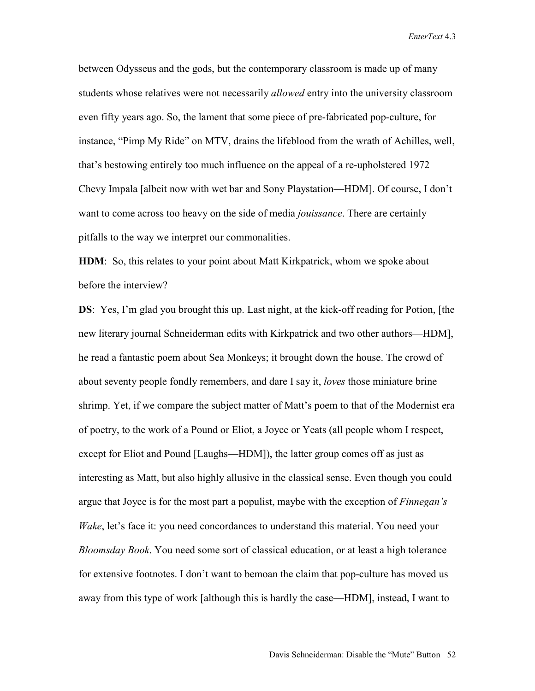between Odysseus and the gods, but the contemporary classroom is made up of many students whose relatives were not necessarily *allowed* entry into the university classroom even fifty years ago. So, the lament that some piece of pre-fabricated pop-culture, for instance, "Pimp My Ride" on MTV, drains the lifeblood from the wrath of Achilles, well, that's bestowing entirely too much influence on the appeal of a re-upholstered 1972 Chevy Impala [albeit now with wet bar and Sony Playstation—HDM]. Of course, I don't want to come across too heavy on the side of media *jouissance*. There are certainly pitfalls to the way we interpret our commonalities.

**HDM**: So, this relates to your point about Matt Kirkpatrick, whom we spoke about before the interview?

**DS**: Yes, I'm glad you brought this up. Last night, at the kick-off reading for Potion, [the new literary journal Schneiderman edits with Kirkpatrick and two other authors—HDM], he read a fantastic poem about Sea Monkeys; it brought down the house. The crowd of about seventy people fondly remembers, and dare I say it, *loves* those miniature brine shrimp. Yet, if we compare the subject matter of Matt's poem to that of the Modernist era of poetry, to the work of a Pound or Eliot, a Joyce or Yeats (all people whom I respect, except for Eliot and Pound [Laughs—HDM]), the latter group comes off as just as interesting as Matt, but also highly allusive in the classical sense. Even though you could argue that Joyce is for the most part a populist, maybe with the exception of *Finnegan's Wake*, let's face it: you need concordances to understand this material. You need your *Bloomsday Book*. You need some sort of classical education, or at least a high tolerance for extensive footnotes. I don't want to bemoan the claim that pop-culture has moved us away from this type of work [although this is hardly the case—HDM], instead, I want to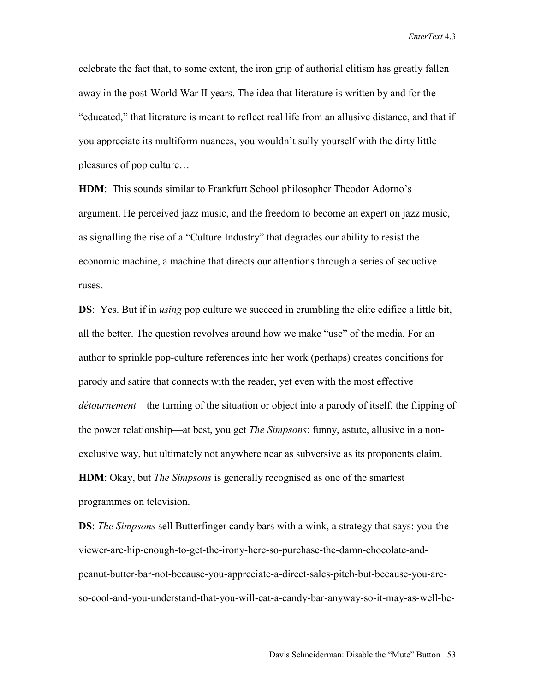celebrate the fact that, to some extent, the iron grip of authorial elitism has greatly fallen away in the post-World War II years. The idea that literature is written by and for the "educated," that literature is meant to reflect real life from an allusive distance, and that if you appreciate its multiform nuances, you wouldn't sully yourself with the dirty little pleasures of pop culture…

**HDM**: This sounds similar to Frankfurt School philosopher Theodor Adorno's argument. He perceived jazz music, and the freedom to become an expert on jazz music, as signalling the rise of a "Culture Industry" that degrades our ability to resist the economic machine, a machine that directs our attentions through a series of seductive ruses.

**DS**: Yes. But if in *using* pop culture we succeed in crumbling the elite edifice a little bit, all the better. The question revolves around how we make "use" of the media. For an author to sprinkle pop-culture references into her work (perhaps) creates conditions for parody and satire that connects with the reader, yet even with the most effective *détournement*—the turning of the situation or object into a parody of itself, the flipping of the power relationship—at best, you get *The Simpsons*: funny, astute, allusive in a nonexclusive way, but ultimately not anywhere near as subversive as its proponents claim. **HDM**: Okay, but *The Simpsons* is generally recognised as one of the smartest

programmes on television.

**DS**: *The Simpsons* sell Butterfinger candy bars with a wink, a strategy that says: you-theviewer-are-hip-enough-to-get-the-irony-here-so-purchase-the-damn-chocolate-andpeanut-butter-bar-not-because-you-appreciate-a-direct-sales-pitch-but-because-you-areso-cool-and-you-understand-that-you-will-eat-a-candy-bar-anyway-so-it-may-as-well-be-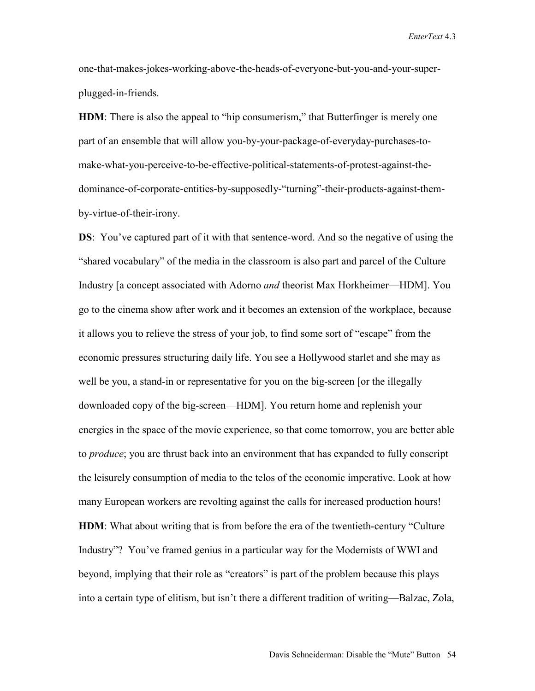one-that-makes-jokes-working-above-the-heads-of-everyone-but-you-and-your-superplugged-in-friends.

**HDM**: There is also the appeal to "hip consumerism," that Butterfinger is merely one part of an ensemble that will allow you-by-your-package-of-everyday-purchases-tomake-what-you-perceive-to-be-effective-political-statements-of-protest-against-thedominance-of-corporate-entities-by-supposedly-"turning"-their-products-against-themby-virtue-of-their-irony.

**DS**: You've captured part of it with that sentence-word. And so the negative of using the "shared vocabulary" of the media in the classroom is also part and parcel of the Culture Industry [a concept associated with Adorno *and* theorist Max Horkheimer—HDM]. You go to the cinema show after work and it becomes an extension of the workplace, because it allows you to relieve the stress of your job, to find some sort of "escape" from the economic pressures structuring daily life. You see a Hollywood starlet and she may as well be you, a stand-in or representative for you on the big-screen [or the illegally downloaded copy of the big-screen—HDM]. You return home and replenish your energies in the space of the movie experience, so that come tomorrow, you are better able to *produce*; you are thrust back into an environment that has expanded to fully conscript the leisurely consumption of media to the telos of the economic imperative. Look at how many European workers are revolting against the calls for increased production hours! **HDM**: What about writing that is from before the era of the twentieth-century "Culture Industry"? You've framed genius in a particular way for the Modernists of WWI and beyond, implying that their role as "creators" is part of the problem because this plays into a certain type of elitism, but isn't there a different tradition of writing—Balzac, Zola,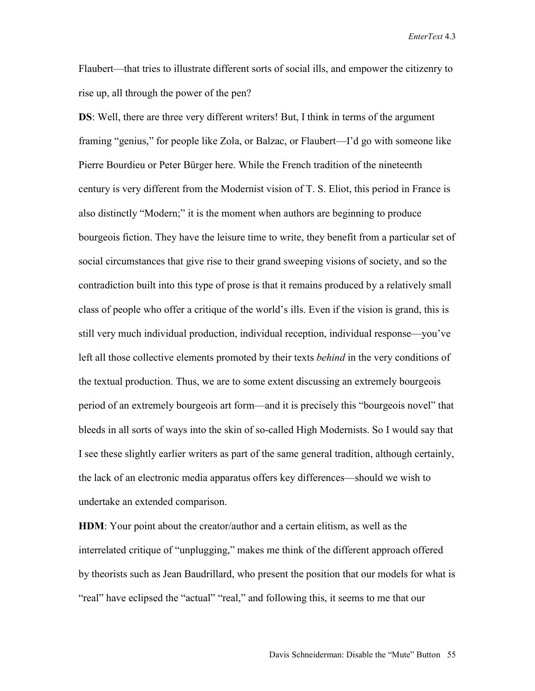Flaubert—that tries to illustrate different sorts of social ills, and empower the citizenry to rise up, all through the power of the pen?

**DS**: Well, there are three very different writers! But, I think in terms of the argument framing "genius," for people like Zola, or Balzac, or Flaubert—I'd go with someone like Pierre Bourdieu or Peter Bürger here. While the French tradition of the nineteenth century is very different from the Modernist vision of T. S. Eliot, this period in France is also distinctly "Modern;" it is the moment when authors are beginning to produce bourgeois fiction. They have the leisure time to write, they benefit from a particular set of social circumstances that give rise to their grand sweeping visions of society, and so the contradiction built into this type of prose is that it remains produced by a relatively small class of people who offer a critique of the world's ills. Even if the vision is grand, this is still very much individual production, individual reception, individual response—you've left all those collective elements promoted by their texts *behind* in the very conditions of the textual production. Thus, we are to some extent discussing an extremely bourgeois period of an extremely bourgeois art form—and it is precisely this "bourgeois novel" that bleeds in all sorts of ways into the skin of so-called High Modernists. So I would say that I see these slightly earlier writers as part of the same general tradition, although certainly, the lack of an electronic media apparatus offers key differences—should we wish to undertake an extended comparison.

**HDM**: Your point about the creator/author and a certain elitism, as well as the interrelated critique of "unplugging," makes me think of the different approach offered by theorists such as Jean Baudrillard, who present the position that our models for what is "real" have eclipsed the "actual" "real," and following this, it seems to me that our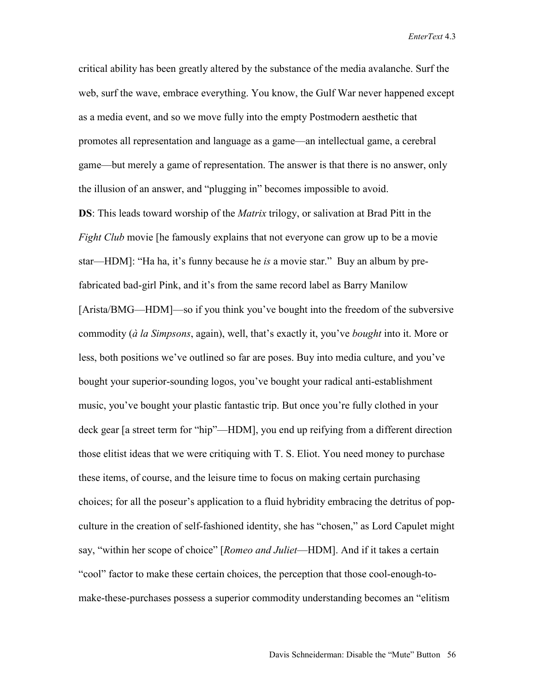critical ability has been greatly altered by the substance of the media avalanche. Surf the web, surf the wave, embrace everything. You know, the Gulf War never happened except as a media event, and so we move fully into the empty Postmodern aesthetic that promotes all representation and language as a game—an intellectual game, a cerebral game—but merely a game of representation. The answer is that there is no answer, only the illusion of an answer, and "plugging in" becomes impossible to avoid.

**DS**: This leads toward worship of the *Matrix* trilogy, or salivation at Brad Pitt in the *Fight Club* movie [he famously explains that not everyone can grow up to be a movie star—HDM]: "Ha ha, it's funny because he *is* a movie star." Buy an album by prefabricated bad-girl Pink, and it's from the same record label as Barry Manilow [Arista/BMG—HDM]—so if you think you've bought into the freedom of the subversive commodity (*à la Simpsons*, again), well, that's exactly it, you've *bought* into it. More or less, both positions we've outlined so far are poses. Buy into media culture, and you've bought your superior-sounding logos, you've bought your radical anti-establishment music, you've bought your plastic fantastic trip. But once you're fully clothed in your deck gear [a street term for "hip"—HDM], you end up reifying from a different direction those elitist ideas that we were critiquing with T. S. Eliot. You need money to purchase these items, of course, and the leisure time to focus on making certain purchasing choices; for all the poseur's application to a fluid hybridity embracing the detritus of popculture in the creation of self-fashioned identity, she has "chosen," as Lord Capulet might say, "within her scope of choice" [*Romeo and Juliet*—HDM]. And if it takes a certain "cool" factor to make these certain choices, the perception that those cool-enough-tomake-these-purchases possess a superior commodity understanding becomes an "elitism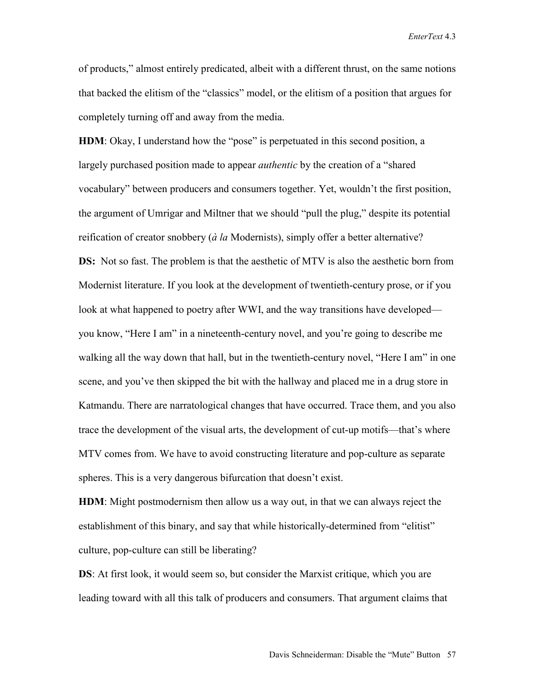of products," almost entirely predicated, albeit with a different thrust, on the same notions that backed the elitism of the "classics" model, or the elitism of a position that argues for completely turning off and away from the media.

**HDM**: Okay, I understand how the "pose" is perpetuated in this second position, a largely purchased position made to appear *authentic* by the creation of a "shared vocabulary" between producers and consumers together. Yet, wouldn't the first position, the argument of Umrigar and Miltner that we should "pull the plug," despite its potential reification of creator snobbery (*à la* Modernists), simply offer a better alternative? **DS:** Not so fast. The problem is that the aesthetic of MTV is also the aesthetic born from Modernist literature. If you look at the development of twentieth-century prose, or if you look at what happened to poetry after WWI, and the way transitions have developed you know, "Here I am" in a nineteenth-century novel, and you're going to describe me walking all the way down that hall, but in the twentieth-century novel, "Here I am" in one scene, and you've then skipped the bit with the hallway and placed me in a drug store in Katmandu. There are narratological changes that have occurred. Trace them, and you also trace the development of the visual arts, the development of cut-up motifs—that's where MTV comes from. We have to avoid constructing literature and pop-culture as separate spheres. This is a very dangerous bifurcation that doesn't exist.

**HDM**: Might postmodernism then allow us a way out, in that we can always reject the establishment of this binary, and say that while historically-determined from "elitist" culture, pop-culture can still be liberating?

**DS**: At first look, it would seem so, but consider the Marxist critique, which you are leading toward with all this talk of producers and consumers. That argument claims that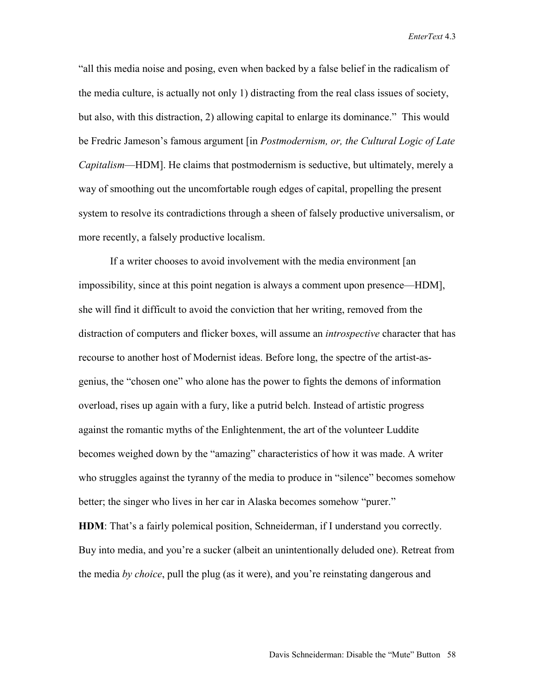"all this media noise and posing, even when backed by a false belief in the radicalism of the media culture, is actually not only 1) distracting from the real class issues of society, but also, with this distraction, 2) allowing capital to enlarge its dominance." This would be Fredric Jameson's famous argument [in *Postmodernism, or, the Cultural Logic of Late Capitalism*—HDM]. He claims that postmodernism is seductive, but ultimately, merely a way of smoothing out the uncomfortable rough edges of capital, propelling the present system to resolve its contradictions through a sheen of falsely productive universalism, or more recently, a falsely productive localism.

If a writer chooses to avoid involvement with the media environment [an impossibility, since at this point negation is always a comment upon presence—HDM], she will find it difficult to avoid the conviction that her writing, removed from the distraction of computers and flicker boxes, will assume an *introspective* character that has recourse to another host of Modernist ideas. Before long, the spectre of the artist-asgenius, the "chosen one" who alone has the power to fights the demons of information overload, rises up again with a fury, like a putrid belch. Instead of artistic progress against the romantic myths of the Enlightenment, the art of the volunteer Luddite becomes weighed down by the "amazing" characteristics of how it was made. A writer who struggles against the tyranny of the media to produce in "silence" becomes somehow better; the singer who lives in her car in Alaska becomes somehow "purer."

**HDM**: That's a fairly polemical position, Schneiderman, if I understand you correctly. Buy into media, and you're a sucker (albeit an unintentionally deluded one). Retreat from the media *by choice*, pull the plug (as it were), and you're reinstating dangerous and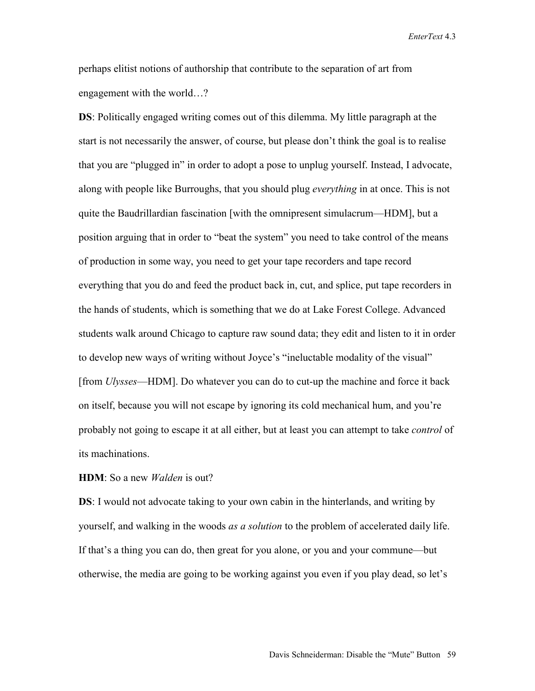perhaps elitist notions of authorship that contribute to the separation of art from engagement with the world…?

**DS**: Politically engaged writing comes out of this dilemma. My little paragraph at the start is not necessarily the answer, of course, but please don't think the goal is to realise that you are "plugged in" in order to adopt a pose to unplug yourself. Instead, I advocate, along with people like Burroughs, that you should plug *everything* in at once. This is not quite the Baudrillardian fascination [with the omnipresent simulacrum—HDM], but a position arguing that in order to "beat the system" you need to take control of the means of production in some way, you need to get your tape recorders and tape record everything that you do and feed the product back in, cut, and splice, put tape recorders in the hands of students, which is something that we do at Lake Forest College. Advanced students walk around Chicago to capture raw sound data; they edit and listen to it in order to develop new ways of writing without Joyce's "ineluctable modality of the visual" [from *Ulysses*—HDM]. Do whatever you can do to cut-up the machine and force it back on itself, because you will not escape by ignoring its cold mechanical hum, and you're probably not going to escape it at all either, but at least you can attempt to take *control* of its machinations.

**HDM**: So a new *Walden* is out?

**DS**: I would not advocate taking to your own cabin in the hinterlands, and writing by yourself, and walking in the woods *as a solution* to the problem of accelerated daily life. If that's a thing you can do, then great for you alone, or you and your commune—but otherwise, the media are going to be working against you even if you play dead, so let's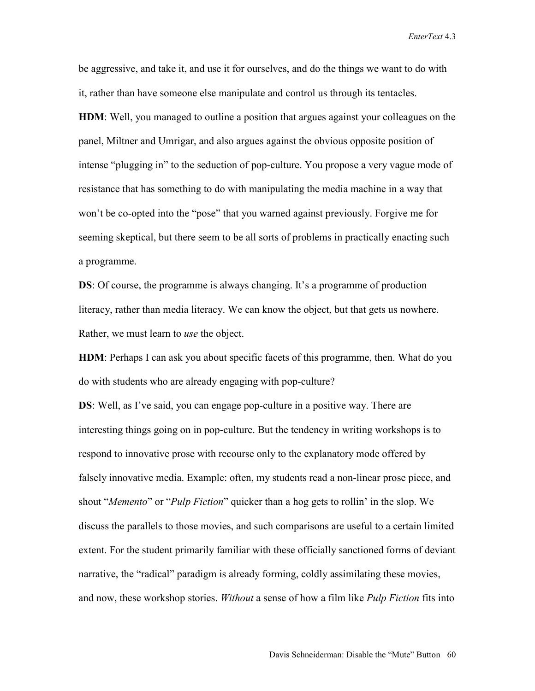be aggressive, and take it, and use it for ourselves, and do the things we want to do with it, rather than have someone else manipulate and control us through its tentacles.

**HDM**: Well, you managed to outline a position that argues against your colleagues on the panel, Miltner and Umrigar, and also argues against the obvious opposite position of intense "plugging in" to the seduction of pop-culture. You propose a very vague mode of resistance that has something to do with manipulating the media machine in a way that won't be co-opted into the "pose" that you warned against previously. Forgive me for seeming skeptical, but there seem to be all sorts of problems in practically enacting such a programme.

**DS**: Of course, the programme is always changing. It's a programme of production literacy, rather than media literacy. We can know the object, but that gets us nowhere. Rather, we must learn to *use* the object.

**HDM**: Perhaps I can ask you about specific facets of this programme, then. What do you do with students who are already engaging with pop-culture?

**DS**: Well, as I've said, you can engage pop-culture in a positive way. There are interesting things going on in pop-culture. But the tendency in writing workshops is to respond to innovative prose with recourse only to the explanatory mode offered by falsely innovative media. Example: often, my students read a non-linear prose piece, and shout "*Memento*" or "*Pulp Fiction*" quicker than a hog gets to rollin' in the slop. We discuss the parallels to those movies, and such comparisons are useful to a certain limited extent. For the student primarily familiar with these officially sanctioned forms of deviant narrative, the "radical" paradigm is already forming, coldly assimilating these movies, and now, these workshop stories. *Without* a sense of how a film like *Pulp Fiction* fits into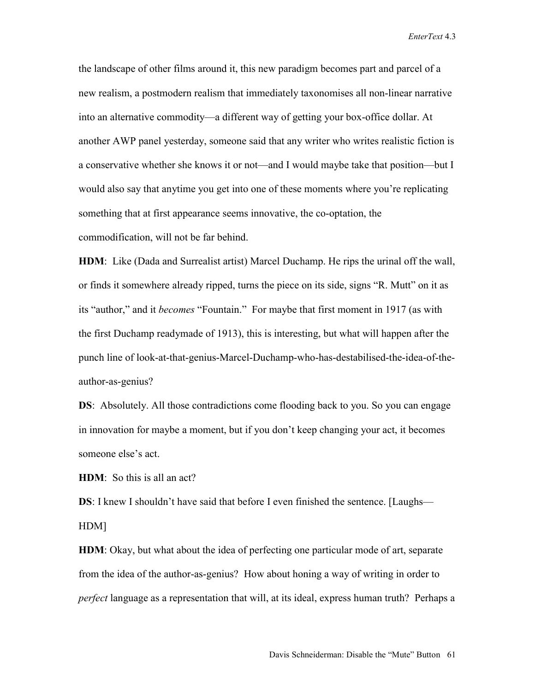the landscape of other films around it, this new paradigm becomes part and parcel of a new realism, a postmodern realism that immediately taxonomises all non-linear narrative into an alternative commodity—a different way of getting your box-office dollar. At another AWP panel yesterday, someone said that any writer who writes realistic fiction is a conservative whether she knows it or not—and I would maybe take that position—but I would also say that anytime you get into one of these moments where you're replicating something that at first appearance seems innovative, the co-optation, the commodification, will not be far behind.

**HDM**: Like (Dada and Surrealist artist) Marcel Duchamp. He rips the urinal off the wall, or finds it somewhere already ripped, turns the piece on its side, signs "R. Mutt" on it as its "author," and it *becomes* "Fountain." For maybe that first moment in 1917 (as with the first Duchamp readymade of 1913), this is interesting, but what will happen after the punch line of look-at-that-genius-Marcel-Duchamp-who-has-destabilised-the-idea-of-theauthor-as-genius?

**DS**: Absolutely. All those contradictions come flooding back to you. So you can engage in innovation for maybe a moment, but if you don't keep changing your act, it becomes someone else's act.

**HDM**: So this is all an act?

**DS**: I knew I shouldn't have said that before I even finished the sentence. [Laughs— HDM]

**HDM**: Okay, but what about the idea of perfecting one particular mode of art, separate from the idea of the author-as-genius? How about honing a way of writing in order to *perfect* language as a representation that will, at its ideal, express human truth? Perhaps a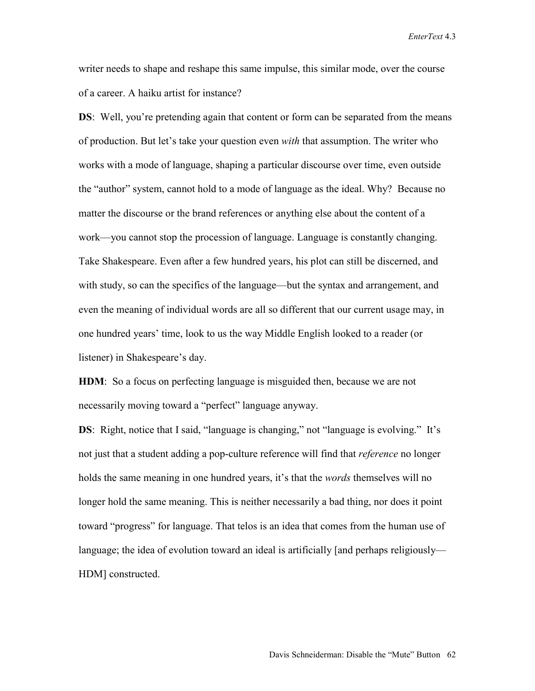writer needs to shape and reshape this same impulse, this similar mode, over the course of a career. A haiku artist for instance?

**DS**: Well, you're pretending again that content or form can be separated from the means of production. But let's take your question even *with* that assumption. The writer who works with a mode of language, shaping a particular discourse over time, even outside the "author" system, cannot hold to a mode of language as the ideal. Why? Because no matter the discourse or the brand references or anything else about the content of a work—you cannot stop the procession of language. Language is constantly changing. Take Shakespeare. Even after a few hundred years, his plot can still be discerned, and with study, so can the specifics of the language—but the syntax and arrangement, and even the meaning of individual words are all so different that our current usage may, in one hundred years' time, look to us the way Middle English looked to a reader (or listener) in Shakespeare's day.

**HDM**: So a focus on perfecting language is misguided then, because we are not necessarily moving toward a "perfect" language anyway.

**DS**: Right, notice that I said, "language is changing," not "language is evolving." It's not just that a student adding a pop-culture reference will find that *reference* no longer holds the same meaning in one hundred years, it's that the *words* themselves will no longer hold the same meaning. This is neither necessarily a bad thing, nor does it point toward "progress" for language. That telos is an idea that comes from the human use of language; the idea of evolution toward an ideal is artificially [and perhaps religiously— HDM] constructed.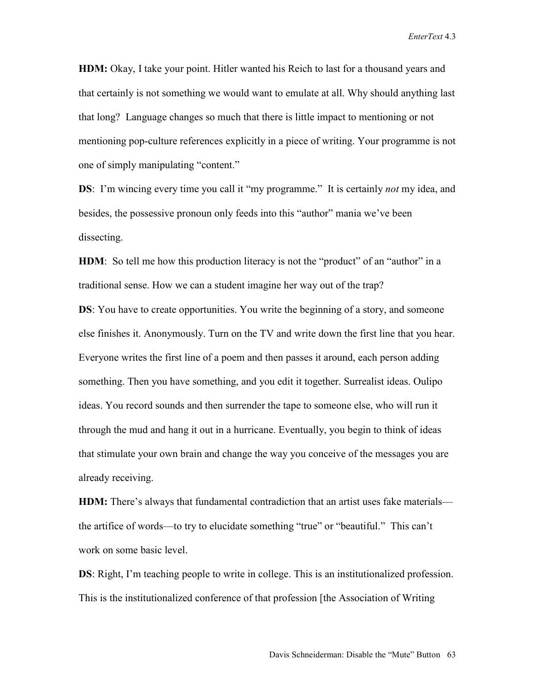**HDM:** Okay, I take your point. Hitler wanted his Reich to last for a thousand years and that certainly is not something we would want to emulate at all. Why should anything last that long? Language changes so much that there is little impact to mentioning or not mentioning pop-culture references explicitly in a piece of writing. Your programme is not one of simply manipulating "content."

**DS**: I'm wincing every time you call it "my programme." It is certainly *not* my idea, and besides, the possessive pronoun only feeds into this "author" mania we've been dissecting.

**HDM**: So tell me how this production literacy is not the "product" of an "author" in a traditional sense. How we can a student imagine her way out of the trap?

**DS**: You have to create opportunities. You write the beginning of a story, and someone else finishes it. Anonymously. Turn on the TV and write down the first line that you hear. Everyone writes the first line of a poem and then passes it around, each person adding something. Then you have something, and you edit it together. Surrealist ideas. Oulipo ideas. You record sounds and then surrender the tape to someone else, who will run it through the mud and hang it out in a hurricane. Eventually, you begin to think of ideas that stimulate your own brain and change the way you conceive of the messages you are already receiving.

**HDM:** There's always that fundamental contradiction that an artist uses fake materials the artifice of words—to try to elucidate something "true" or "beautiful." This can't work on some basic level.

**DS**: Right, I'm teaching people to write in college. This is an institutionalized profession. This is the institutionalized conference of that profession [the Association of Writing